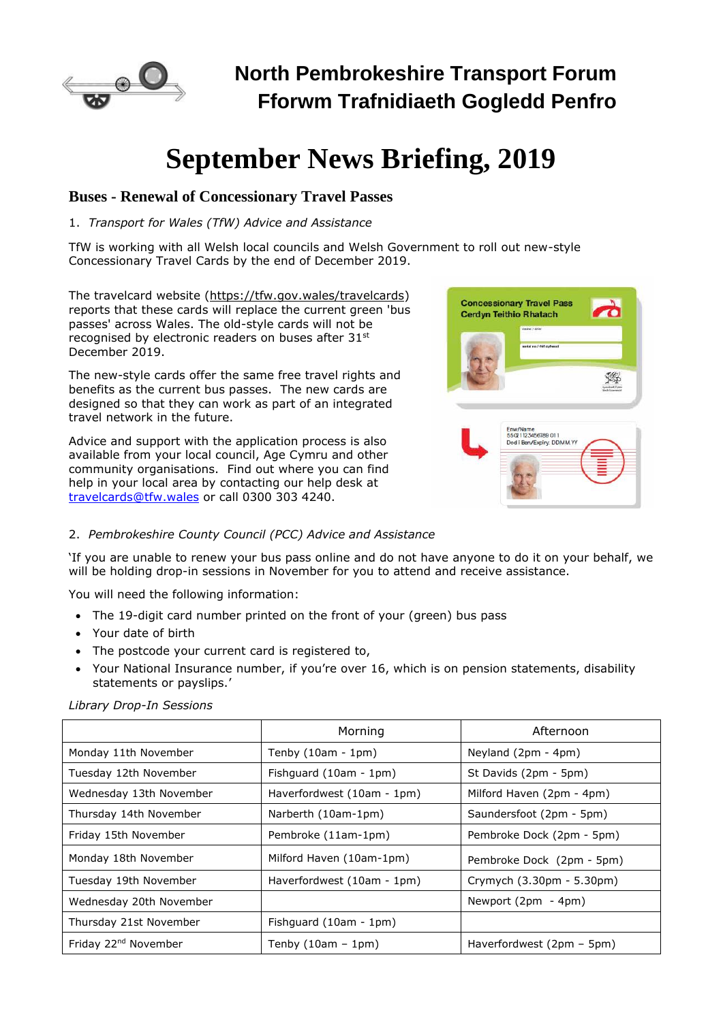

# **North Pembrokeshire Transport Forum Fforwm Trafnidiaeth Gogledd Penfro**

# **September News Briefing, 2019**

### **Buses - Renewal of Concessionary Travel Passes**

#### 1. *Transport for Wales (TfW) Advice and Assistance*

TfW is working with all Welsh local councils and Welsh Government to roll out new-style Concessionary Travel Cards by the end of December 2019.

The travelcard website (https://tfw.gov.wales/travelcards) reports that these cards will replace the current green 'bus passes' across Wales. The old-style cards will not be recognised by electronic readers on buses after 31st December 2019.

The new-style cards offer the same free travel rights and benefits as the current bus passes. The new cards are designed so that they can work as part of an integrated travel network in the future.

Advice and support with the application process is also available from your local council, Age Cymru and other community organisations. Find out where you can find help in your local area by contacting our help desk at [travelcards@tfw.wales](mailto:travelcards@tfw.wales) or call 0300 303 4240.



#### 2. *Pembrokeshire County Council (PCC) Advice and Assistance*

'If you are unable to renew your bus pass online and do not have anyone to do it on your behalf, we will be holding drop-in sessions in November for you to attend and receive assistance.

You will need the following information:

- The 19-digit card number printed on the front of your (green) bus pass
- Your date of birth
- The postcode your current card is registered to,
- Your National Insurance number, if you're over 16, which is on pension statements, disability statements or payslips.'

*Library Drop-In Sessions*

|                                  | Morning                    | Afternoon                   |
|----------------------------------|----------------------------|-----------------------------|
| Monday 11th November             | Tenby $(10am - 1pm)$       | Neyland (2pm - 4pm)         |
| Tuesday 12th November            | Fishguard (10am - 1pm)     | St Davids (2pm - 5pm)       |
| Wednesday 13th November          | Haverfordwest (10am - 1pm) | Milford Haven (2pm - 4pm)   |
| Thursday 14th November           | Narberth (10am-1pm)        | Saundersfoot (2pm - 5pm)    |
| Friday 15th November             | Pembroke (11am-1pm)        | Pembroke Dock (2pm - 5pm)   |
| Monday 18th November             | Milford Haven (10am-1pm)   | Pembroke Dock (2pm - 5pm)   |
| Tuesday 19th November            | Haverfordwest (10am - 1pm) | Crymych (3.30pm - 5.30pm)   |
| Wednesday 20th November          |                            | Newport $(2pm - 4pm)$       |
| Thursday 21st November           | Fishguard (10am - 1pm)     |                             |
| Friday 22 <sup>nd</sup> November | Tenby $(10am - 1pm)$       | Haverfordwest $(2pm - 5pm)$ |